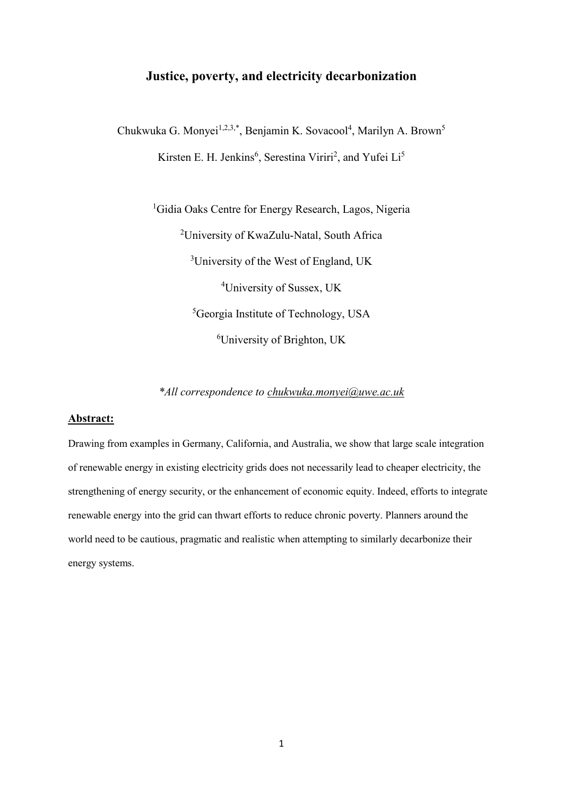# **Justice, poverty, and electricity decarbonization**

Chukwuka G. Monyei<sup>1,2,3,\*</sup>, Benjamin K. Sovacool<sup>4</sup>, Marilyn A. Brown<sup>5</sup> Kirsten E. H. Jenkins<sup>6</sup>, Serestina Viriri<sup>2</sup>, and Yufei Li<sup>5</sup>

> <sup>1</sup>Gidia Oaks Centre for Energy Research, Lagos, Nigeria <sup>2</sup>University of KwaZulu-Natal, South Africa University of the West of England, UK University of Sussex, UK Georgia Institute of Technology, USA University of Brighton, UK

*\*All correspondence to [chukwuka.monyei@uwe.ac.uk](mailto:chukwuka.monyei@uwe.ac.uk)*

# **Abstract:**

Drawing from examples in Germany, California, and Australia, we show that large scale integration of renewable energy in existing electricity grids does not necessarily lead to cheaper electricity, the strengthening of energy security, or the enhancement of economic equity. Indeed, efforts to integrate renewable energy into the grid can thwart efforts to reduce chronic poverty. Planners around the world need to be cautious, pragmatic and realistic when attempting to similarly decarbonize their energy systems.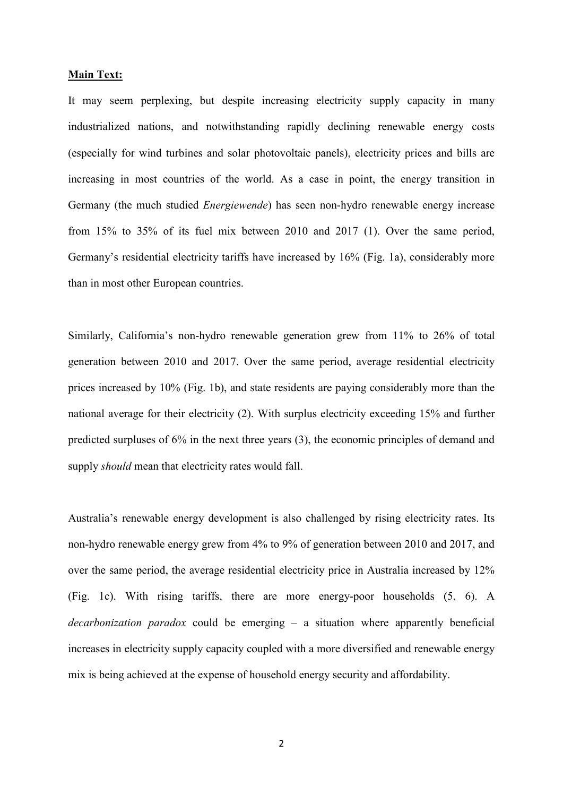## **Main Text:**

It may seem perplexing, but despite increasing electricity supply capacity in many industrialized nations, and notwithstanding rapidly declining renewable energy costs (especially for wind turbines and solar photovoltaic panels), electricity prices and bills are increasing in most countries of the world. As a case in point, the energy transition in Germany (the much studied *Energiewende*) has seen non-hydro renewable energy increase from 15% to 35% of its fuel mix between 2010 and 2017 (1). Over the same period, Germany's residential electricity tariffs have increased by 16% (Fig. 1a), considerably more than in most other European countries.

Similarly, California's non-hydro renewable generation grew from 11% to 26% of total generation between 2010 and 2017. Over the same period, average residential electricity prices increased by 10% (Fig. 1b), and state residents are paying considerably more than the national average for their electricity (2). With surplus electricity exceeding 15% and further predicted surpluses of 6% in the next three years (3), the economic principles of demand and supply *should* mean that electricity rates would fall.

Australia's renewable energy development is also challenged by rising electricity rates. Its non-hydro renewable energy grew from 4% to 9% of generation between 2010 and 2017, and over the same period, the average residential electricity price in Australia increased by 12% (Fig. 1c). With rising tariffs, there are more energy-poor households (5, 6). A *decarbonization paradox* could be emerging – a situation where apparently beneficial increases in electricity supply capacity coupled with a more diversified and renewable energy mix is being achieved at the expense of household energy security and affordability.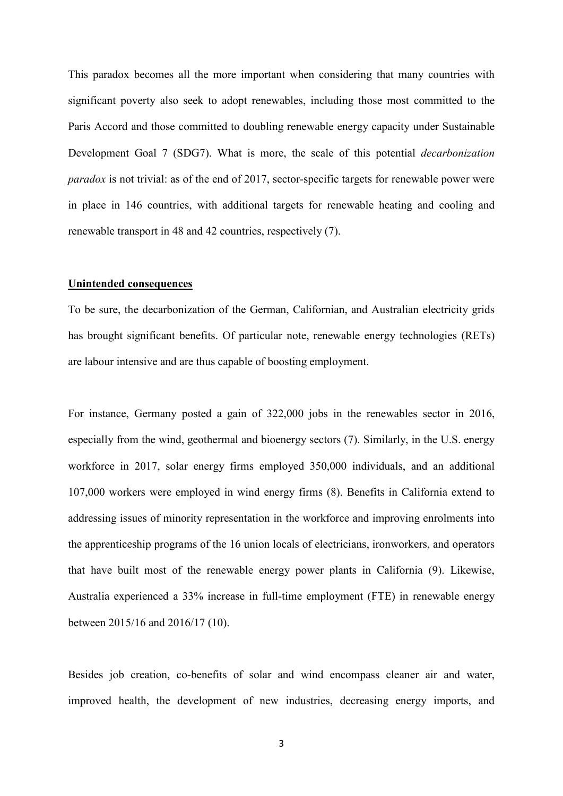This paradox becomes all the more important when considering that many countries with significant poverty also seek to adopt renewables, including those most committed to the Paris Accord and those committed to doubling renewable energy capacity under Sustainable Development Goal 7 (SDG7). What is more, the scale of this potential *decarbonization paradox* is not trivial: as of the end of 2017, sector-specific targets for renewable power were in place in 146 countries, with additional targets for renewable heating and cooling and renewable transport in 48 and 42 countries, respectively (7).

## **Unintended consequences**

To be sure, the decarbonization of the German, Californian, and Australian electricity grids has brought significant benefits. Of particular note, renewable energy technologies (RETs) are labour intensive and are thus capable of boosting employment.

For instance, Germany posted a gain of 322,000 jobs in the renewables sector in 2016, especially from the wind, geothermal and bioenergy sectors (7). Similarly, in the U.S. energy workforce in 2017, solar energy firms employed 350,000 individuals, and an additional 107,000 workers were employed in wind energy firms (8). Benefits in California extend to addressing issues of minority representation in the workforce and improving enrolments into the apprenticeship programs of the 16 union locals of electricians, ironworkers, and operators that have built most of the renewable energy power plants in California (9). Likewise, Australia experienced a 33% increase in full-time employment (FTE) in renewable energy between 2015/16 and 2016/17 (10).

Besides job creation, co-benefits of solar and wind encompass cleaner air and water, improved health, the development of new industries, decreasing energy imports, and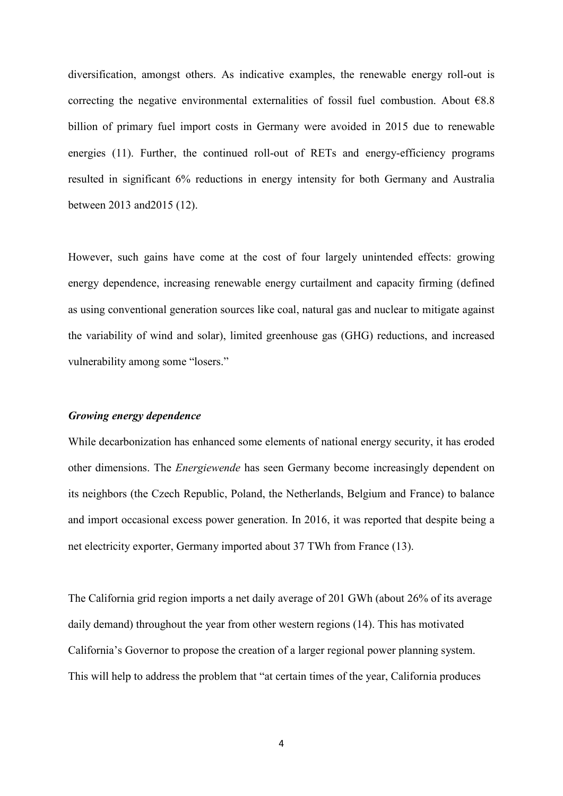diversification, amongst others. As indicative examples, the renewable energy roll-out is correcting the negative environmental externalities of fossil fuel combustion. About  $68.8$ billion of primary fuel import costs in Germany were avoided in 2015 due to renewable energies (11). Further, the continued roll-out of RETs and energy-efficiency programs resulted in significant 6% reductions in energy intensity for both Germany and Australia between 2013 and2015 (12).

However, such gains have come at the cost of four largely unintended effects: growing energy dependence, increasing renewable energy curtailment and capacity firming (defined as using conventional generation sources like coal, natural gas and nuclear to mitigate against the variability of wind and solar), limited greenhouse gas (GHG) reductions, and increased vulnerability among some "losers."

# *Growing energy dependence*

While decarbonization has enhanced some elements of national energy security, it has eroded other dimensions. The *Energiewende* has seen Germany become increasingly dependent on its neighbors (the Czech Republic, Poland, the Netherlands, Belgium and France) to balance and import occasional excess power generation. In 2016, it was reported that despite being a net electricity exporter, Germany imported about 37 TWh from France (13).

The California grid region imports a net daily average of 201 GWh (about 26% of its average daily demand) throughout the year from other western regions (14). This has motivated California's Governor to propose the creation of a larger regional power planning system. This will help to address the problem that "at certain times of the year, California produces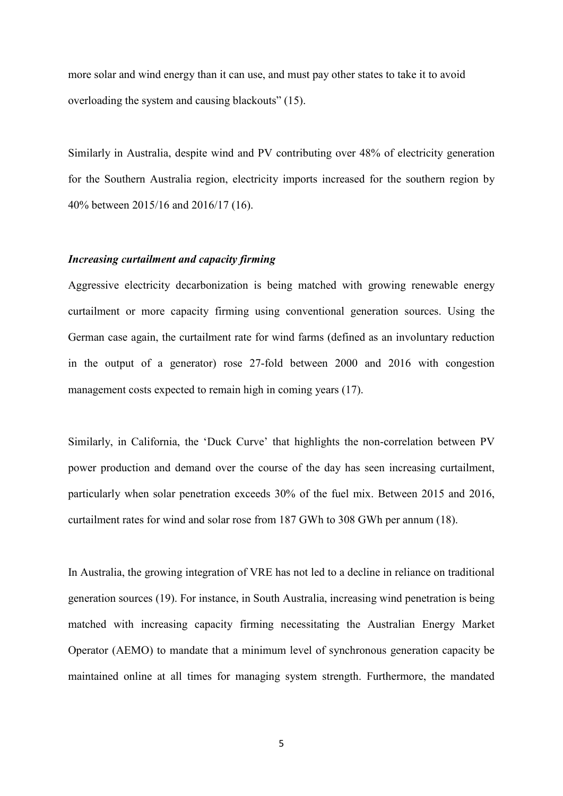more solar and wind energy than it can use, and must pay other states to take it to avoid overloading the system and causing blackouts" (15).

Similarly in Australia, despite wind and PV contributing over 48% of electricity generation for the Southern Australia region, electricity imports increased for the southern region by 40% between 2015/16 and 2016/17 (16).

## *Increasing curtailment and capacity firming*

Aggressive electricity decarbonization is being matched with growing renewable energy curtailment or more capacity firming using conventional generation sources. Using the German case again, the curtailment rate for wind farms (defined as an involuntary reduction in the output of a generator) rose 27-fold between 2000 and 2016 with congestion management costs expected to remain high in coming years (17).

Similarly, in California, the 'Duck Curve' that highlights the non-correlation between PV power production and demand over the course of the day has seen increasing curtailment, particularly when solar penetration exceeds 30% of the fuel mix. Between 2015 and 2016, curtailment rates for wind and solar rose from 187 GWh to 308 GWh per annum (18).

In Australia, the growing integration of VRE has not led to a decline in reliance on traditional generation sources (19). For instance, in South Australia, increasing wind penetration is being matched with increasing capacity firming necessitating the Australian Energy Market Operator (AEMO) to mandate that a minimum level of synchronous generation capacity be maintained online at all times for managing system strength. Furthermore, the mandated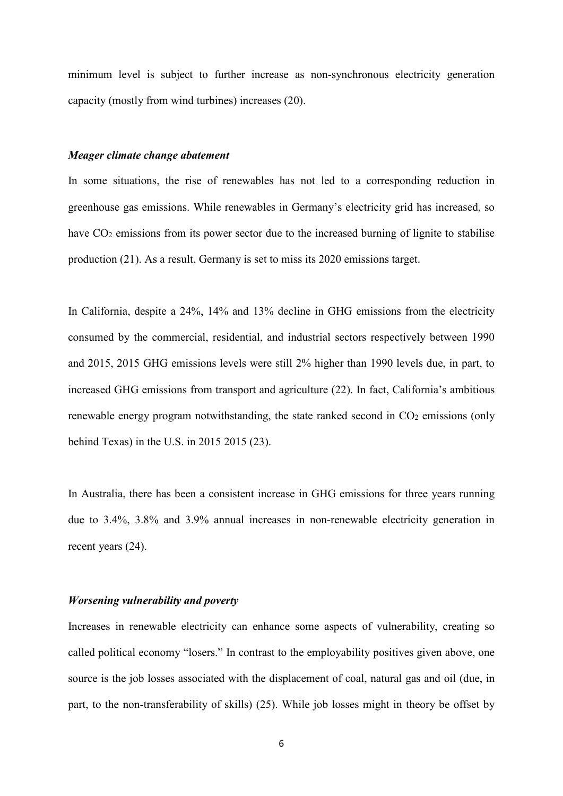minimum level is subject to further increase as non-synchronous electricity generation capacity (mostly from wind turbines) increases (20).

## *Meager climate change abatement*

In some situations, the rise of renewables has not led to a corresponding reduction in greenhouse gas emissions. While renewables in Germany's electricity grid has increased, so have  $CO<sub>2</sub>$  emissions from its power sector due to the increased burning of lignite to stabilise production (21). As a result, Germany is set to miss its 2020 emissions target.

In California, despite a 24%, 14% and 13% decline in GHG emissions from the electricity consumed by the commercial, residential, and industrial sectors respectively between 1990 and 2015, 2015 GHG emissions levels were still 2% higher than 1990 levels due, in part, to increased GHG emissions from transport and agriculture (22). In fact, California's ambitious renewable energy program notwithstanding, the state ranked second in  $CO<sub>2</sub>$  emissions (only behind Texas) in the U.S. in 2015 2015 (23).

In Australia, there has been a consistent increase in GHG emissions for three years running due to 3.4%, 3.8% and 3.9% annual increases in non-renewable electricity generation in recent years (24).

## *Worsening vulnerability and poverty*

Increases in renewable electricity can enhance some aspects of vulnerability, creating so called political economy "losers." In contrast to the employability positives given above, one source is the job losses associated with the displacement of coal, natural gas and oil (due, in part, to the non-transferability of skills) (25). While job losses might in theory be offset by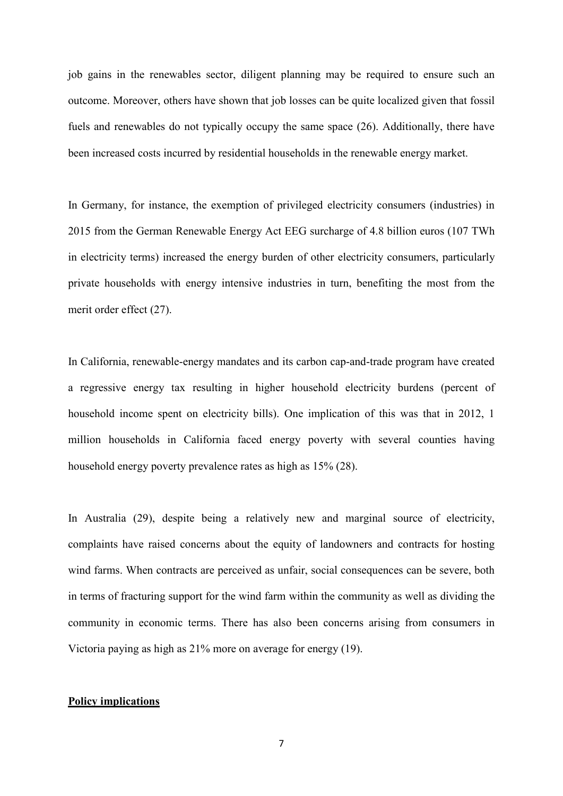job gains in the renewables sector, diligent planning may be required to ensure such an outcome. Moreover, others have shown that job losses can be quite localized given that fossil fuels and renewables do not typically occupy the same space (26). Additionally, there have been increased costs incurred by residential households in the renewable energy market.

In Germany, for instance, the exemption of privileged electricity consumers (industries) in 2015 from the German Renewable Energy Act EEG surcharge of 4.8 billion euros (107 TWh in electricity terms) increased the energy burden of other electricity consumers, particularly private households with energy intensive industries in turn, benefiting the most from the merit order effect (27).

In California, renewable-energy mandates and its carbon cap-and-trade program have created a regressive energy tax resulting in higher household electricity burdens (percent of household income spent on electricity bills). One implication of this was that in 2012, 1 million households in California faced energy poverty with several counties having household energy poverty prevalence rates as high as 15% (28).

In Australia (29), despite being a relatively new and marginal source of electricity, complaints have raised concerns about the equity of landowners and contracts for hosting wind farms. When contracts are perceived as unfair, social consequences can be severe, both in terms of fracturing support for the wind farm within the community as well as dividing the community in economic terms. There has also been concerns arising from consumers in Victoria paying as high as 21% more on average for energy (19).

## **Policy implications**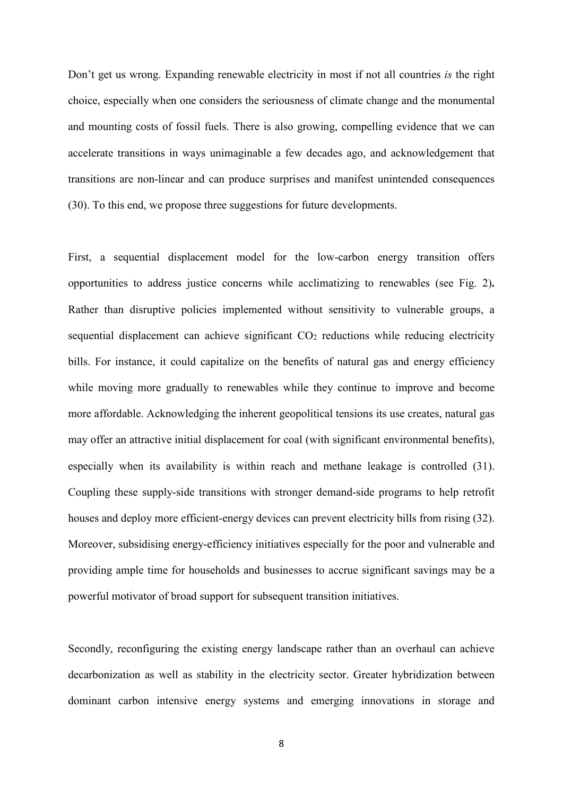Don't get us wrong. Expanding renewable electricity in most if not all countries *is* the right choice, especially when one considers the seriousness of climate change and the monumental and mounting costs of fossil fuels. There is also growing, compelling evidence that we can accelerate transitions in ways unimaginable a few decades ago, and acknowledgement that transitions are non-linear and can produce surprises and manifest unintended consequences (30). To this end, we propose three suggestions for future developments.

First, a sequential displacement model for the low-carbon energy transition offers opportunities to address justice concerns while acclimatizing to renewables (see Fig. 2)**.** Rather than disruptive policies implemented without sensitivity to vulnerable groups, a sequential displacement can achieve significant  $CO<sub>2</sub>$  reductions while reducing electricity bills. For instance, it could capitalize on the benefits of natural gas and energy efficiency while moving more gradually to renewables while they continue to improve and become more affordable. Acknowledging the inherent geopolitical tensions its use creates, natural gas may offer an attractive initial displacement for coal (with significant environmental benefits), especially when its availability is within reach and methane leakage is controlled (31). Coupling these supply-side transitions with stronger demand-side programs to help retrofit houses and deploy more efficient-energy devices can prevent electricity bills from rising (32). Moreover, subsidising energy-efficiency initiatives especially for the poor and vulnerable and providing ample time for households and businesses to accrue significant savings may be a powerful motivator of broad support for subsequent transition initiatives.

Secondly, reconfiguring the existing energy landscape rather than an overhaul can achieve decarbonization as well as stability in the electricity sector. Greater hybridization between dominant carbon intensive energy systems and emerging innovations in storage and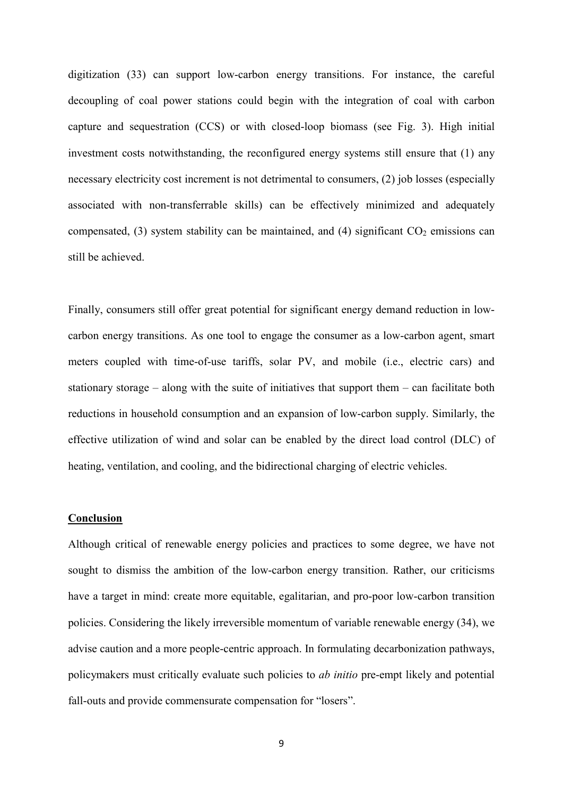digitization (33) can support low-carbon energy transitions. For instance, the careful decoupling of coal power stations could begin with the integration of coal with carbon capture and sequestration (CCS) or with closed-loop biomass (see Fig. 3). High initial investment costs notwithstanding, the reconfigured energy systems still ensure that (1) any necessary electricity cost increment is not detrimental to consumers, (2) job losses (especially associated with non-transferrable skills) can be effectively minimized and adequately compensated, (3) system stability can be maintained, and (4) significant  $CO<sub>2</sub>$  emissions can still be achieved.

Finally, consumers still offer great potential for significant energy demand reduction in lowcarbon energy transitions. As one tool to engage the consumer as a low-carbon agent, smart meters coupled with time-of-use tariffs, solar PV, and mobile (i.e., electric cars) and stationary storage – along with the suite of initiatives that support them – can facilitate both reductions in household consumption and an expansion of low-carbon supply. Similarly, the effective utilization of wind and solar can be enabled by the direct load control (DLC) of heating, ventilation, and cooling, and the bidirectional charging of electric vehicles.

## **Conclusion**

Although critical of renewable energy policies and practices to some degree, we have not sought to dismiss the ambition of the low-carbon energy transition. Rather, our criticisms have a target in mind: create more equitable, egalitarian, and pro-poor low-carbon transition policies. Considering the likely irreversible momentum of variable renewable energy (34), we advise caution and a more people-centric approach. In formulating decarbonization pathways, policymakers must critically evaluate such policies to *ab initio* pre-empt likely and potential fall-outs and provide commensurate compensation for "losers".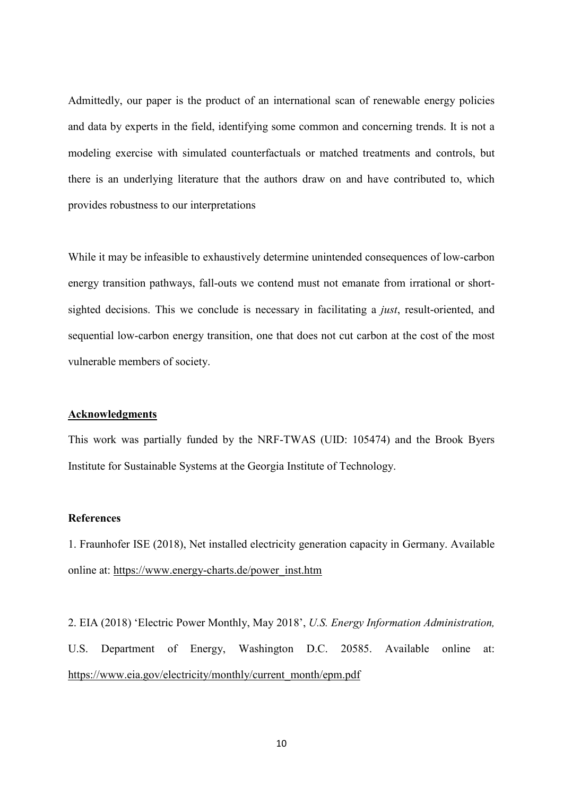Admittedly, our paper is the product of an international scan of renewable energy policies and data by experts in the field, identifying some common and concerning trends. It is not a modeling exercise with simulated counterfactuals or matched treatments and controls, but there is an underlying literature that the authors draw on and have contributed to, which provides robustness to our interpretations

While it may be infeasible to exhaustively determine unintended consequences of low-carbon energy transition pathways, fall-outs we contend must not emanate from irrational or shortsighted decisions. This we conclude is necessary in facilitating a *just*, result-oriented, and sequential low-carbon energy transition, one that does not cut carbon at the cost of the most vulnerable members of society.

### **Acknowledgments**

This work was partially funded by the NRF-TWAS (UID: 105474) and the Brook Byers Institute for Sustainable Systems at the Georgia Institute of Technology.

#### **References**

1. Fraunhofer ISE (2018), Net installed electricity generation capacity in Germany. Available online at: [https://www.energy-charts.de/power\\_inst.htm](https://www.energy-charts.de/power_inst.htm)

2. EIA (2018) 'Electric Power Monthly, May 2018', *U.S. Energy Information Administration,*  U.S. Department of Energy, Washington D.C. 20585. Available online at: [https://www.eia.gov/electricity/monthly/current\\_month/epm.pdf](https://www.eia.gov/electricity/monthly/current_month/epm.pdf)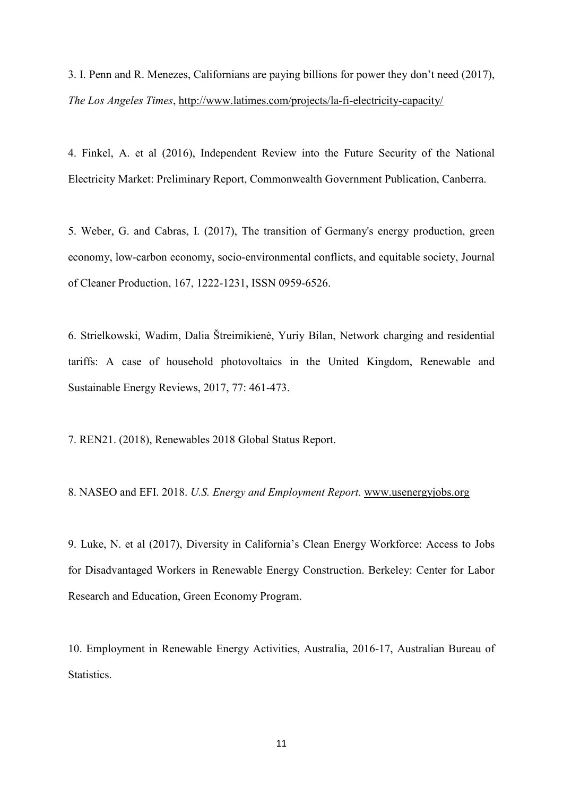3. I. Penn and R. Menezes, Californians are paying billions for power they don't need (2017), *The Los Angeles Times*,<http://www.latimes.com/projects/la-fi-electricity-capacity/>

4. Finkel, A. et al (2016), Independent Review into the Future Security of the National Electricity Market: Preliminary Report, Commonwealth Government Publication, Canberra.

5. Weber, G. and Cabras, I. (2017), The transition of Germany's energy production, green economy, low-carbon economy, socio-environmental conflicts, and equitable society, Journal of Cleaner Production, 167, 1222-1231, ISSN 0959-6526.

6. Strielkowski, Wadim, Dalia Štreimikienė, Yuriy Bilan, Network charging and residential tariffs: A case of household photovoltaics in the United Kingdom, Renewable and Sustainable Energy Reviews, 2017, 77: 461-473.

7. REN21. (2018), Renewables 2018 Global Status Report.

8. NASEO and EFI. 2018. *U.S. Energy and Employment Report.* [www.usenergyjobs.org](http://www.usenergyjobs.org/)

9. Luke, N. et al (2017), Diversity in California's Clean Energy Workforce: Access to Jobs for Disadvantaged Workers in Renewable Energy Construction. Berkeley: Center for Labor Research and Education, Green Economy Program.

10. Employment in Renewable Energy Activities, Australia, 2016-17, Australian Bureau of Statistics.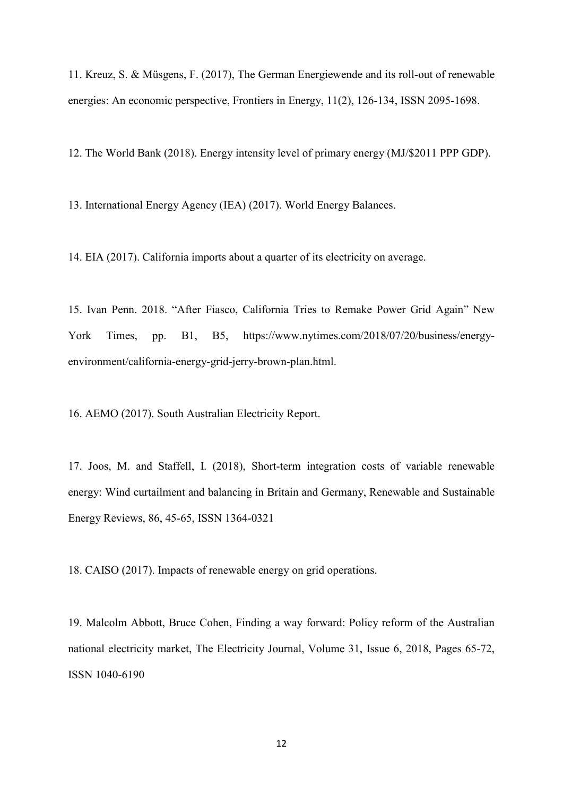11. Kreuz, S. & Müsgens, F. (2017), The German Energiewende and its roll-out of renewable energies: An economic perspective, Frontiers in Energy, 11(2), 126-134, ISSN 2095-1698.

12. The World Bank (2018). Energy intensity level of primary energy (MJ/\$2011 PPP GDP).

13. International Energy Agency (IEA) (2017). World Energy Balances.

14. EIA (2017). California imports about a quarter of its electricity on average.

15. Ivan Penn. 2018. "After Fiasco, California Tries to Remake Power Grid Again" New York Times, pp. B1, B5, https://www.nytimes.com/2018/07/20/business/energyenvironment/california-energy-grid-jerry-brown-plan.html.

16. AEMO (2017). South Australian Electricity Report.

17. Joos, M. and Staffell, I. (2018), Short-term integration costs of variable renewable energy: Wind curtailment and balancing in Britain and Germany, Renewable and Sustainable Energy Reviews, 86, 45-65, ISSN 1364-0321

18. CAISO (2017). Impacts of renewable energy on grid operations.

19. Malcolm Abbott, Bruce Cohen, Finding a way forward: Policy reform of the Australian national electricity market, The Electricity Journal, Volume 31, Issue 6, 2018, Pages 65-72, ISSN 1040-6190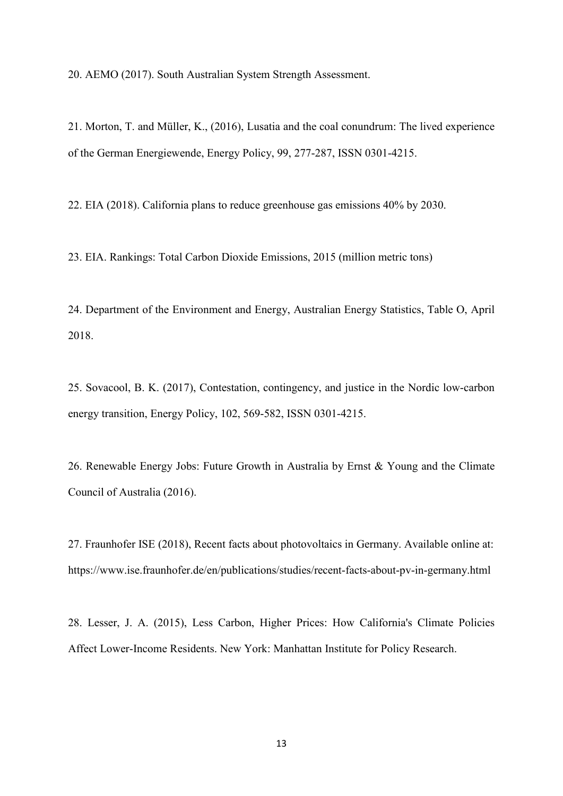20. AEMO (2017). South Australian System Strength Assessment.

21. Morton, T. and Müller, K., (2016), Lusatia and the coal conundrum: The lived experience of the German Energiewende, Energy Policy, 99, 277-287, ISSN 0301-4215.

22. EIA (2018). California plans to reduce greenhouse gas emissions 40% by 2030.

23. EIA. Rankings: Total Carbon Dioxide Emissions, 2015 (million metric tons)

24. Department of the Environment and Energy, Australian Energy Statistics, Table O, April 2018.

25. Sovacool, B. K. (2017), Contestation, contingency, and justice in the Nordic low-carbon energy transition, Energy Policy, 102, 569-582, ISSN 0301-4215.

26. Renewable Energy Jobs: Future Growth in Australia by Ernst & Young and the Climate Council of Australia (2016).

27. Fraunhofer ISE (2018), Recent facts about photovoltaics in Germany. Available online at: https://www.ise.fraunhofer.de/en/publications/studies/recent-facts-about-pv-in-germany.html

28. Lesser, J. A. (2015), Less Carbon, Higher Prices: How California's Climate Policies Affect Lower-Income Residents. New York: Manhattan Institute for Policy Research.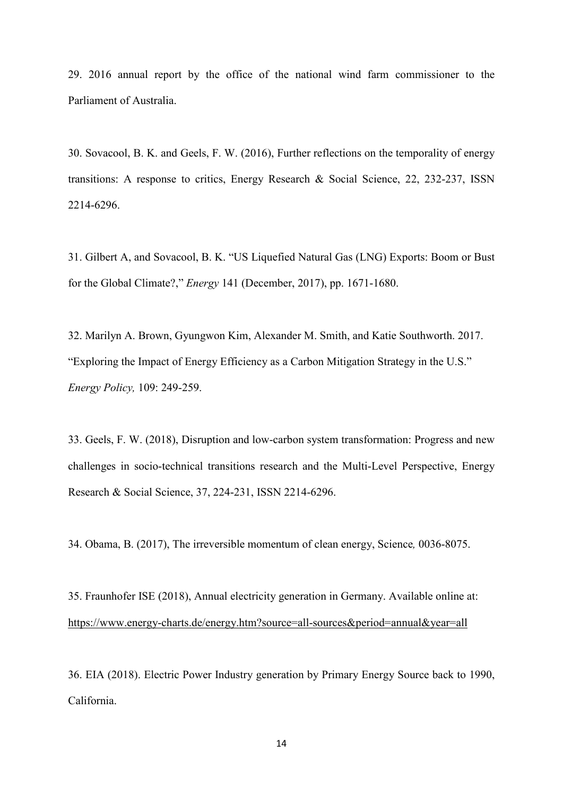29. 2016 annual report by the office of the national wind farm commissioner to the Parliament of Australia.

30. Sovacool, B. K. and Geels, F. W. (2016), Further reflections on the temporality of energy transitions: A response to critics, Energy Research & Social Science, 22, 232-237, ISSN 2214-6296.

31. [Gilbert A, and Sovacool, B. K. "US Liquefied Natural Gas \(LNG\) Exports: Boom or Bust](https://www.sciencedirect.com/science/article/pii/S0360544217319564)  for the Global Climate?," *Energy* [141 \(December, 2017\), pp. 1671-1680.](https://www.sciencedirect.com/science/article/pii/S0360544217319564)

32. Marilyn A. Brown, Gyungwon Kim, Alexander M. Smith, and Katie Southworth. 2017. "Exploring the Impact of Energy Efficiency as a Carbon Mitigation Strategy in the U.S." *Energy Policy,* 109: 249-259.

33. Geels, F. W. (2018), Disruption and low-carbon system transformation: Progress and new challenges in socio-technical transitions research and the Multi-Level Perspective, Energy Research & Social Science, 37, 224-231, ISSN 2214-6296.

34. Obama, B. (2017), The irreversible momentum of clean energy, Science*,* 0036-8075.

35. Fraunhofer ISE (2018), Annual electricity generation in Germany. Available online at: <https://www.energy-charts.de/energy.htm?source=all-sources&period=annual&year=all>

36. EIA (2018). Electric Power Industry generation by Primary Energy Source back to 1990, California.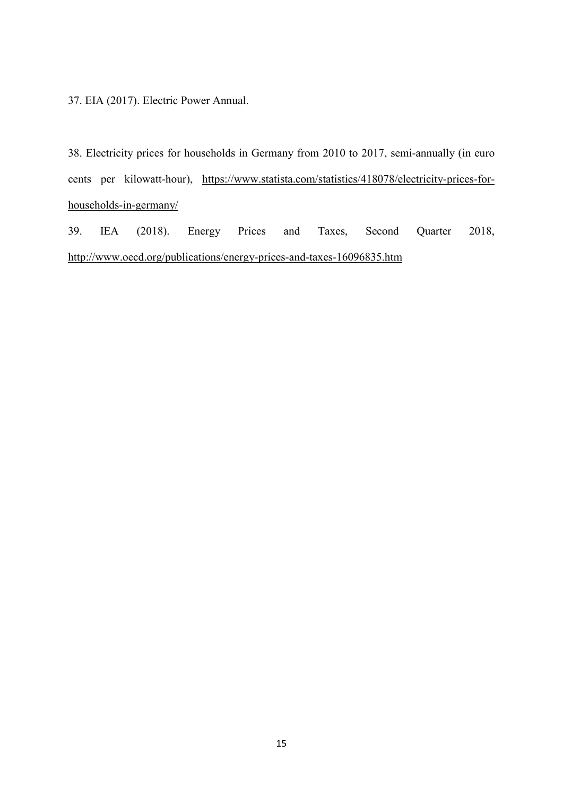37. EIA (2017). Electric Power Annual.

38. Electricity prices for households in Germany from 2010 to 2017, semi-annually (in euro cents per kilowatt-hour), [https://www.statista.com/statistics/418078/electricity-prices-for](https://www.statista.com/statistics/418078/electricity-prices-for-households-in-germany/)[households-in-germany/](https://www.statista.com/statistics/418078/electricity-prices-for-households-in-germany/)

39. IEA (2018). Energy Prices and Taxes, Second Quarter 2018, <http://www.oecd.org/publications/energy-prices-and-taxes-16096835.htm>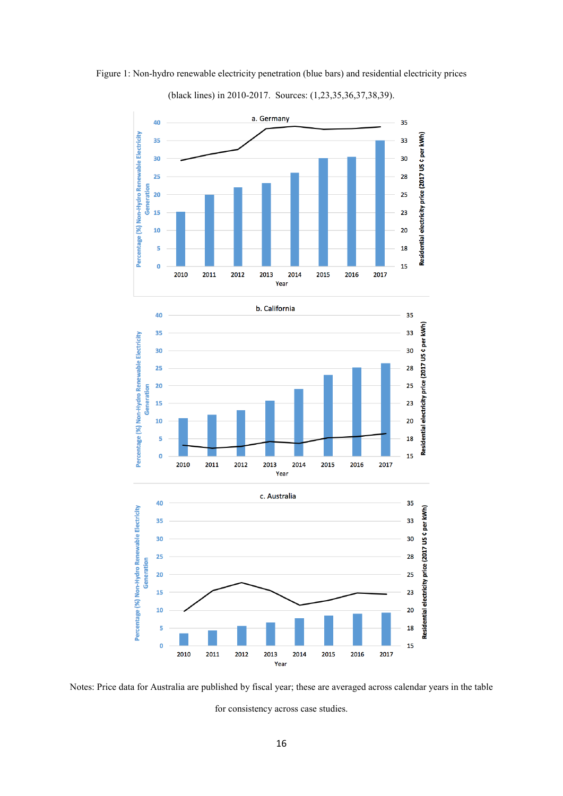

Figure 1: Non-hydro renewable electricity penetration (blue bars) and residential electricity prices

#### (black lines) in 2010-2017. Sources: (1,23,35,36,37,38,39).

Notes: Price data for Australia are published by fiscal year; these are averaged across calendar years in the table for consistency across case studies.

Year